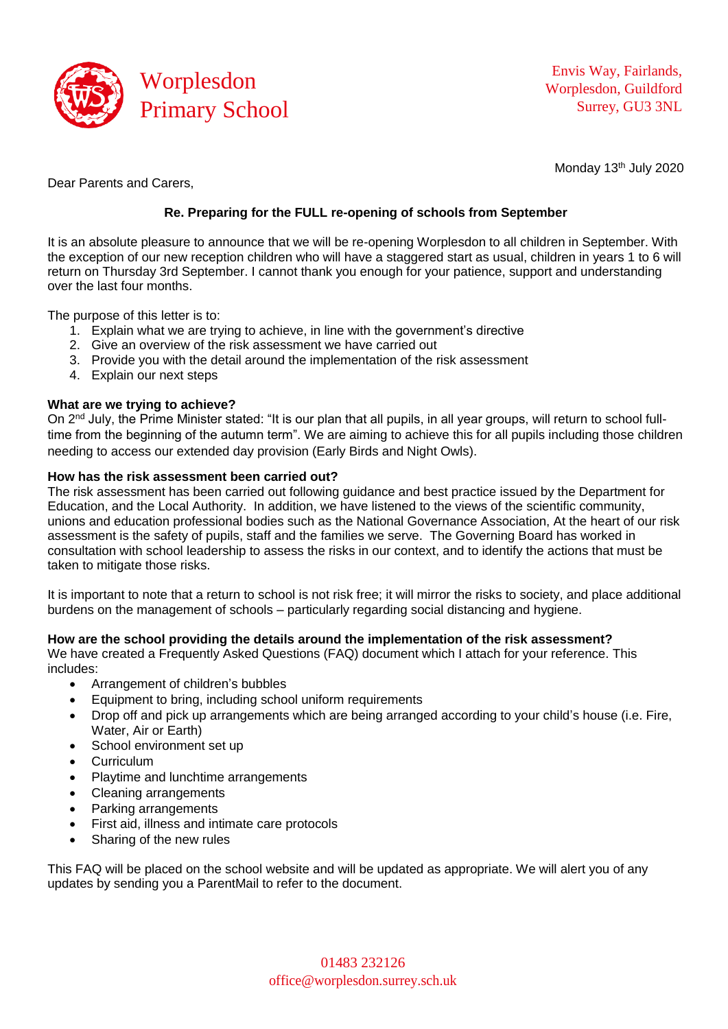

Monday 13<sup>th</sup> July 2020

Dear Parents and Carers,

## **Re. Preparing for the FULL re-opening of schools from September**

It is an absolute pleasure to announce that we will be re-opening Worplesdon to all children in September. With the exception of our new reception children who will have a staggered start as usual, children in years 1 to 6 will return on Thursday 3rd September. I cannot thank you enough for your patience, support and understanding over the last four months.

The purpose of this letter is to:

- 1. Explain what we are trying to achieve, in line with the government's directive
- 2. Give an overview of the risk assessment we have carried out
- 3. Provide you with the detail around the implementation of the risk assessment
- 4. Explain our next steps

## **What are we trying to achieve?**

On 2<sup>nd</sup> July, the Prime Minister stated: "It is our plan that all pupils, in all year groups, will return to school fulltime from the beginning of the autumn term". We are aiming to achieve this for all pupils including those children needing to access our extended day provision (Early Birds and Night Owls).

#### **How has the risk assessment been carried out?**

The risk assessment has been carried out following guidance and best practice issued by the Department for Education, and the Local Authority. In addition, we have listened to the views of the scientific community, unions and education professional bodies such as the National Governance Association, At the heart of our risk assessment is the safety of pupils, staff and the families we serve. The Governing Board has worked in consultation with school leadership to assess the risks in our context, and to identify the actions that must be taken to mitigate those risks.

It is important to note that a return to school is not risk free; it will mirror the risks to society, and place additional burdens on the management of schools – particularly regarding social distancing and hygiene.

#### **How are the school providing the details around the implementation of the risk assessment?**

We have created a Frequently Asked Questions (FAQ) document which I attach for your reference. This includes:

- Arrangement of children's bubbles
- Equipment to bring, including school uniform requirements
- Drop off and pick up arrangements which are being arranged according to your child's house (i.e. Fire, Water, Air or Earth)
- School environment set up
- Curriculum
- Playtime and lunchtime arrangements
- Cleaning arrangements
- Parking arrangements
- First aid, illness and intimate care protocols
- Sharing of the new rules

This FAQ will be placed on the school website and will be updated as appropriate. We will alert you of any updates by sending you a ParentMail to refer to the document.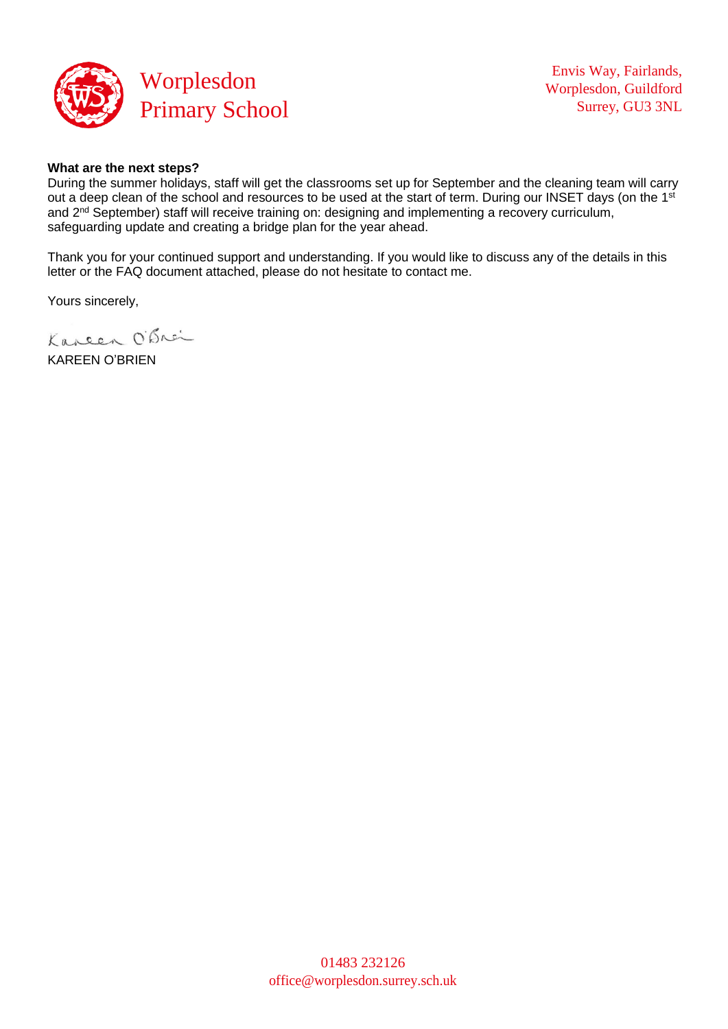

#### **What are the next steps?**

During the summer holidays, staff will get the classrooms set up for September and the cleaning team will carry out a deep clean of the school and resources to be used at the start of term. During our INSET days (on the 1st and 2<sup>nd</sup> September) staff will receive training on: designing and implementing a recovery curriculum, safeguarding update and creating a bridge plan for the year ahead.

Thank you for your continued support and understanding. If you would like to discuss any of the details in this letter or the FAQ document attached, please do not hesitate to contact me.

Yours sincerely,

Kareen O'Brei

KAREEN O'BRIEN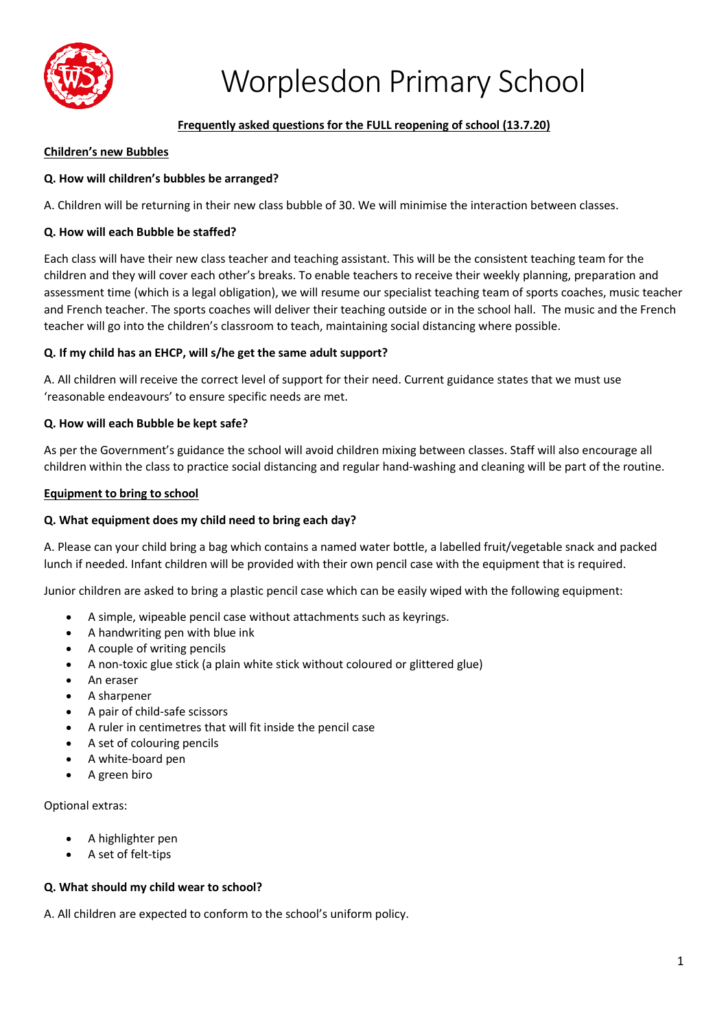

## **Frequently asked questions for the FULL reopening of school (13.7.20)**

#### **Children's new Bubbles**

## **Q. How will children's bubbles be arranged?**

A. Children will be returning in their new class bubble of 30. We will minimise the interaction between classes.

## **Q. How will each Bubble be staffed?**

Each class will have their new class teacher and teaching assistant. This will be the consistent teaching team for the children and they will cover each other's breaks. To enable teachers to receive their weekly planning, preparation and assessment time (which is a legal obligation), we will resume our specialist teaching team of sports coaches, music teacher and French teacher. The sports coaches will deliver their teaching outside or in the school hall. The music and the French teacher will go into the children's classroom to teach, maintaining social distancing where possible.

## **Q. If my child has an EHCP, will s/he get the same adult support?**

A. All children will receive the correct level of support for their need. Current guidance states that we must use 'reasonable endeavours' to ensure specific needs are met.

#### **Q. How will each Bubble be kept safe?**

As per the Government's guidance the school will avoid children mixing between classes. Staff will also encourage all children within the class to practice social distancing and regular hand-washing and cleaning will be part of the routine.

#### **Equipment to bring to school**

#### **Q. What equipment does my child need to bring each day?**

A. Please can your child bring a bag which contains a named water bottle, a labelled fruit/vegetable snack and packed lunch if needed. Infant children will be provided with their own pencil case with the equipment that is required.

Junior children are asked to bring a plastic pencil case which can be easily wiped with the following equipment:

- A simple, wipeable pencil case without attachments such as keyrings.
- A handwriting pen with blue ink
- A couple of writing pencils
- A non-toxic glue stick (a plain white stick without coloured or glittered glue)
- An eraser
- A sharpener
- A pair of child-safe scissors
- A ruler in centimetres that will fit inside the pencil case
- A set of colouring pencils
- A white-board pen
- A green biro

Optional extras:

- A highlighter pen
- A set of felt-tips

#### **Q. What should my child wear to school?**

A. All children are expected to conform to the school's uniform policy.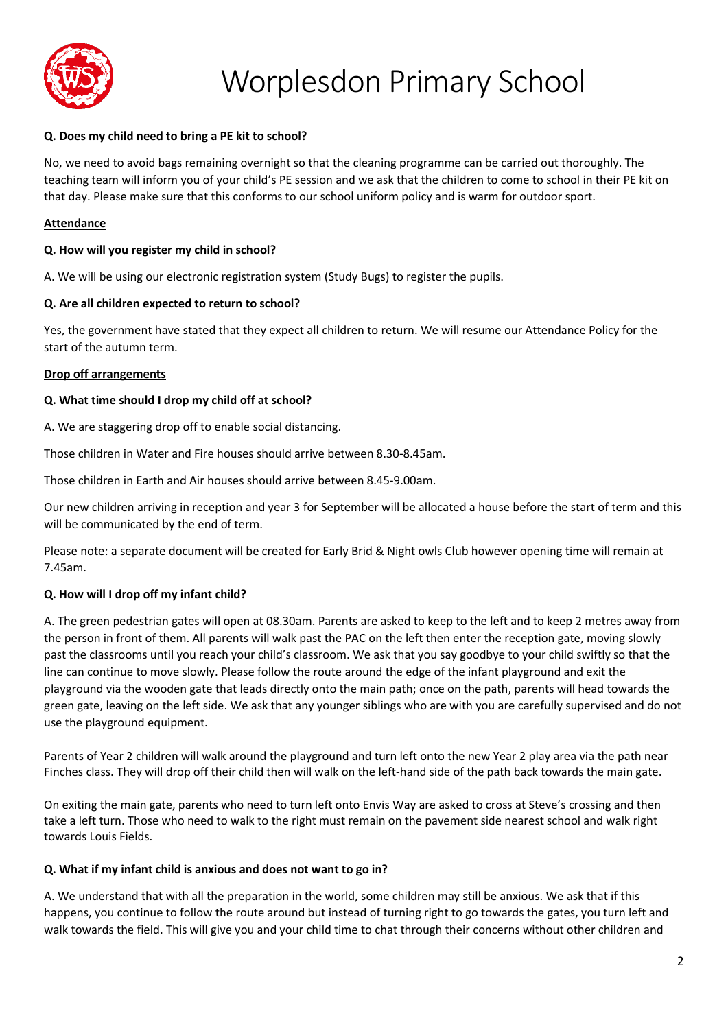

## **Q. Does my child need to bring a PE kit to school?**

No, we need to avoid bags remaining overnight so that the cleaning programme can be carried out thoroughly. The teaching team will inform you of your child's PE session and we ask that the children to come to school in their PE kit on that day. Please make sure that this conforms to our school uniform policy and is warm for outdoor sport.

#### **Attendance**

#### **Q. How will you register my child in school?**

A. We will be using our electronic registration system (Study Bugs) to register the pupils.

#### **Q. Are all children expected to return to school?**

Yes, the government have stated that they expect all children to return. We will resume our Attendance Policy for the start of the autumn term.

#### **Drop off arrangements**

#### **Q. What time should I drop my child off at school?**

A. We are staggering drop off to enable social distancing.

Those children in Water and Fire houses should arrive between 8.30-8.45am.

Those children in Earth and Air houses should arrive between 8.45-9.00am.

Our new children arriving in reception and year 3 for September will be allocated a house before the start of term and this will be communicated by the end of term.

Please note: a separate document will be created for Early Brid & Night owls Club however opening time will remain at 7.45am.

#### **Q. How will I drop off my infant child?**

A. The green pedestrian gates will open at 08.30am. Parents are asked to keep to the left and to keep 2 metres away from the person in front of them. All parents will walk past the PAC on the left then enter the reception gate, moving slowly past the classrooms until you reach your child's classroom. We ask that you say goodbye to your child swiftly so that the line can continue to move slowly. Please follow the route around the edge of the infant playground and exit the playground via the wooden gate that leads directly onto the main path; once on the path, parents will head towards the green gate, leaving on the left side. We ask that any younger siblings who are with you are carefully supervised and do not use the playground equipment.

Parents of Year 2 children will walk around the playground and turn left onto the new Year 2 play area via the path near Finches class. They will drop off their child then will walk on the left-hand side of the path back towards the main gate.

On exiting the main gate, parents who need to turn left onto Envis Way are asked to cross at Steve's crossing and then take a left turn. Those who need to walk to the right must remain on the pavement side nearest school and walk right towards Louis Fields.

#### **Q. What if my infant child is anxious and does not want to go in?**

A. We understand that with all the preparation in the world, some children may still be anxious. We ask that if this happens, you continue to follow the route around but instead of turning right to go towards the gates, you turn left and walk towards the field. This will give you and your child time to chat through their concerns without other children and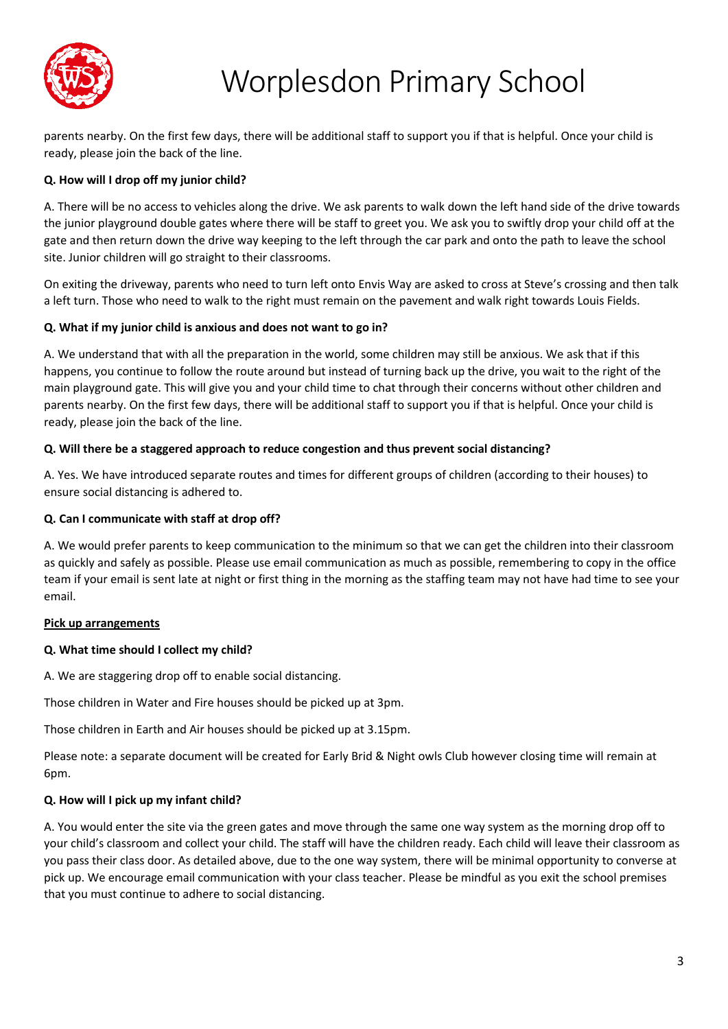

parents nearby. On the first few days, there will be additional staff to support you if that is helpful. Once your child is ready, please join the back of the line.

## **Q. How will I drop off my junior child?**

A. There will be no access to vehicles along the drive. We ask parents to walk down the left hand side of the drive towards the junior playground double gates where there will be staff to greet you. We ask you to swiftly drop your child off at the gate and then return down the drive way keeping to the left through the car park and onto the path to leave the school site. Junior children will go straight to their classrooms.

On exiting the driveway, parents who need to turn left onto Envis Way are asked to cross at Steve's crossing and then talk a left turn. Those who need to walk to the right must remain on the pavement and walk right towards Louis Fields.

## **Q. What if my junior child is anxious and does not want to go in?**

A. We understand that with all the preparation in the world, some children may still be anxious. We ask that if this happens, you continue to follow the route around but instead of turning back up the drive, you wait to the right of the main playground gate. This will give you and your child time to chat through their concerns without other children and parents nearby. On the first few days, there will be additional staff to support you if that is helpful. Once your child is ready, please join the back of the line.

## **Q. Will there be a staggered approach to reduce congestion and thus prevent social distancing?**

A. Yes. We have introduced separate routes and times for different groups of children (according to their houses) to ensure social distancing is adhered to.

## **Q. Can I communicate with staff at drop off?**

A. We would prefer parents to keep communication to the minimum so that we can get the children into their classroom as quickly and safely as possible. Please use email communication as much as possible, remembering to copy in the office team if your email is sent late at night or first thing in the morning as the staffing team may not have had time to see your email.

#### **Pick up arrangements**

## **Q. What time should I collect my child?**

A. We are staggering drop off to enable social distancing.

Those children in Water and Fire houses should be picked up at 3pm.

Those children in Earth and Air houses should be picked up at 3.15pm.

Please note: a separate document will be created for Early Brid & Night owls Club however closing time will remain at 6pm.

## **Q. How will I pick up my infant child?**

A. You would enter the site via the green gates and move through the same one way system as the morning drop off to your child's classroom and collect your child. The staff will have the children ready. Each child will leave their classroom as you pass their class door. As detailed above, due to the one way system, there will be minimal opportunity to converse at pick up. We encourage email communication with your class teacher. Please be mindful as you exit the school premises that you must continue to adhere to social distancing.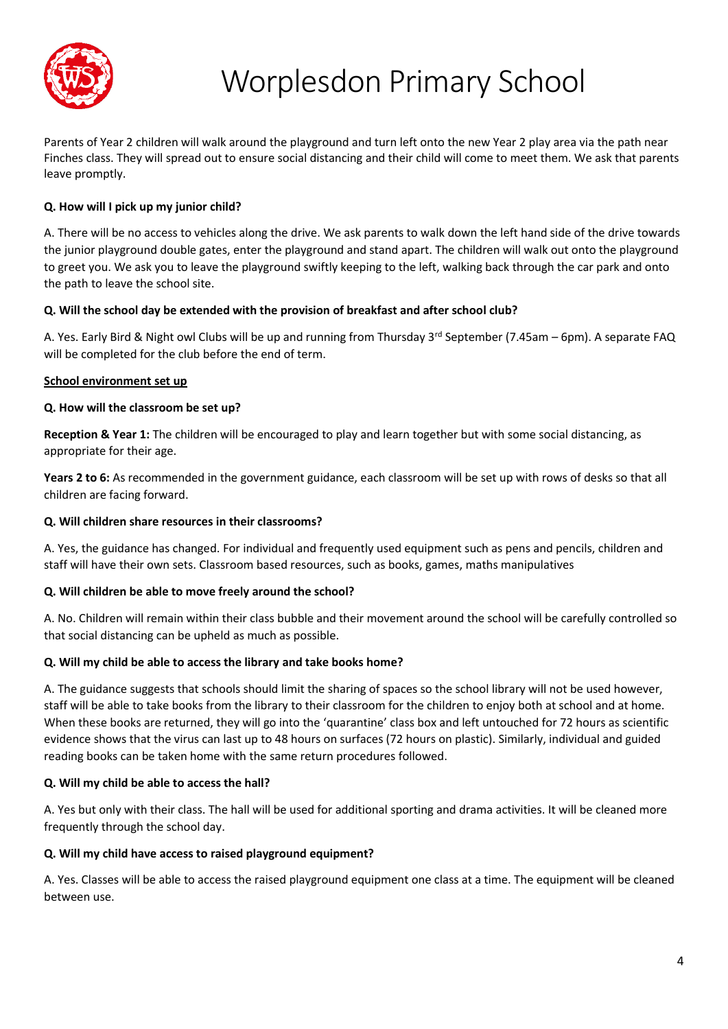

Parents of Year 2 children will walk around the playground and turn left onto the new Year 2 play area via the path near Finches class. They will spread out to ensure social distancing and their child will come to meet them. We ask that parents leave promptly.

## **Q. How will I pick up my junior child?**

A. There will be no access to vehicles along the drive. We ask parents to walk down the left hand side of the drive towards the junior playground double gates, enter the playground and stand apart. The children will walk out onto the playground to greet you. We ask you to leave the playground swiftly keeping to the left, walking back through the car park and onto the path to leave the school site.

## **Q. Will the school day be extended with the provision of breakfast and after school club?**

A. Yes. Early Bird & Night owl Clubs will be up and running from Thursday 3<sup>rd</sup> September (7.45am – 6pm). A separate FAQ will be completed for the club before the end of term.

## **School environment set up**

## **Q. How will the classroom be set up?**

**Reception & Year 1:** The children will be encouraged to play and learn together but with some social distancing, as appropriate for their age.

**Years 2 to 6:** As recommended in the government guidance, each classroom will be set up with rows of desks so that all children are facing forward.

## **Q. Will children share resources in their classrooms?**

A. Yes, the guidance has changed. For individual and frequently used equipment such as pens and pencils, children and staff will have their own sets. Classroom based resources, such as books, games, maths manipulatives

## **Q. Will children be able to move freely around the school?**

A. No. Children will remain within their class bubble and their movement around the school will be carefully controlled so that social distancing can be upheld as much as possible.

#### **Q. Will my child be able to access the library and take books home?**

A. The guidance suggests that schools should limit the sharing of spaces so the school library will not be used however, staff will be able to take books from the library to their classroom for the children to enjoy both at school and at home. When these books are returned, they will go into the 'quarantine' class box and left untouched for 72 hours as scientific evidence shows that the virus can last up to 48 hours on surfaces (72 hours on plastic). Similarly, individual and guided reading books can be taken home with the same return procedures followed.

#### **Q. Will my child be able to access the hall?**

A. Yes but only with their class. The hall will be used for additional sporting and drama activities. It will be cleaned more frequently through the school day.

#### **Q. Will my child have access to raised playground equipment?**

A. Yes. Classes will be able to access the raised playground equipment one class at a time. The equipment will be cleaned between use.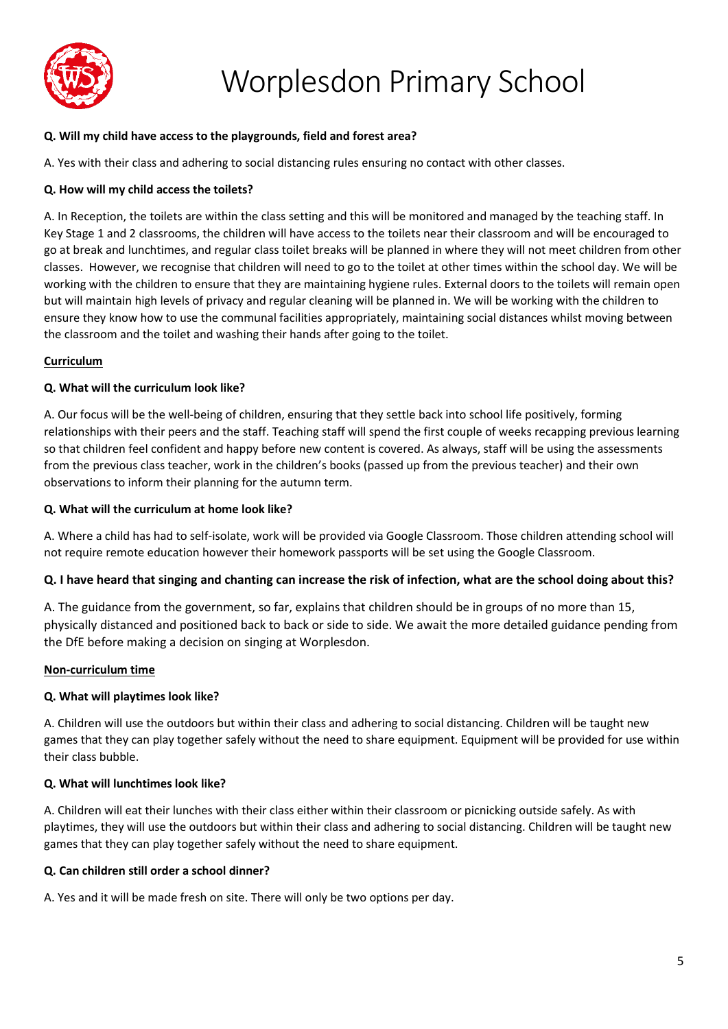

## **Q. Will my child have access to the playgrounds, field and forest area?**

A. Yes with their class and adhering to social distancing rules ensuring no contact with other classes.

## **Q. How will my child access the toilets?**

A. In Reception, the toilets are within the class setting and this will be monitored and managed by the teaching staff. In Key Stage 1 and 2 classrooms, the children will have access to the toilets near their classroom and will be encouraged to go at break and lunchtimes, and regular class toilet breaks will be planned in where they will not meet children from other classes. However, we recognise that children will need to go to the toilet at other times within the school day. We will be working with the children to ensure that they are maintaining hygiene rules. External doors to the toilets will remain open but will maintain high levels of privacy and regular cleaning will be planned in. We will be working with the children to ensure they know how to use the communal facilities appropriately, maintaining social distances whilst moving between the classroom and the toilet and washing their hands after going to the toilet.

## **Curriculum**

#### **Q. What will the curriculum look like?**

A. Our focus will be the well-being of children, ensuring that they settle back into school life positively, forming relationships with their peers and the staff. Teaching staff will spend the first couple of weeks recapping previous learning so that children feel confident and happy before new content is covered. As always, staff will be using the assessments from the previous class teacher, work in the children's books (passed up from the previous teacher) and their own observations to inform their planning for the autumn term.

#### **Q. What will the curriculum at home look like?**

A. Where a child has had to self-isolate, work will be provided via Google Classroom. Those children attending school will not require remote education however their homework passports will be set using the Google Classroom.

#### **Q. I have heard that singing and chanting can increase the risk of infection, what are the school doing about this?**

A. The guidance from the government, so far, explains that children should be in groups of no more than 15, physically distanced and positioned back to back or side to side. We await the more detailed guidance pending from the DfE before making a decision on singing at Worplesdon.

#### **Non-curriculum time**

#### **Q. What will playtimes look like?**

A. Children will use the outdoors but within their class and adhering to social distancing. Children will be taught new games that they can play together safely without the need to share equipment. Equipment will be provided for use within their class bubble.

#### **Q. What will lunchtimes look like?**

A. Children will eat their lunches with their class either within their classroom or picnicking outside safely. As with playtimes, they will use the outdoors but within their class and adhering to social distancing. Children will be taught new games that they can play together safely without the need to share equipment.

#### **Q. Can children still order a school dinner?**

A. Yes and it will be made fresh on site. There will only be two options per day.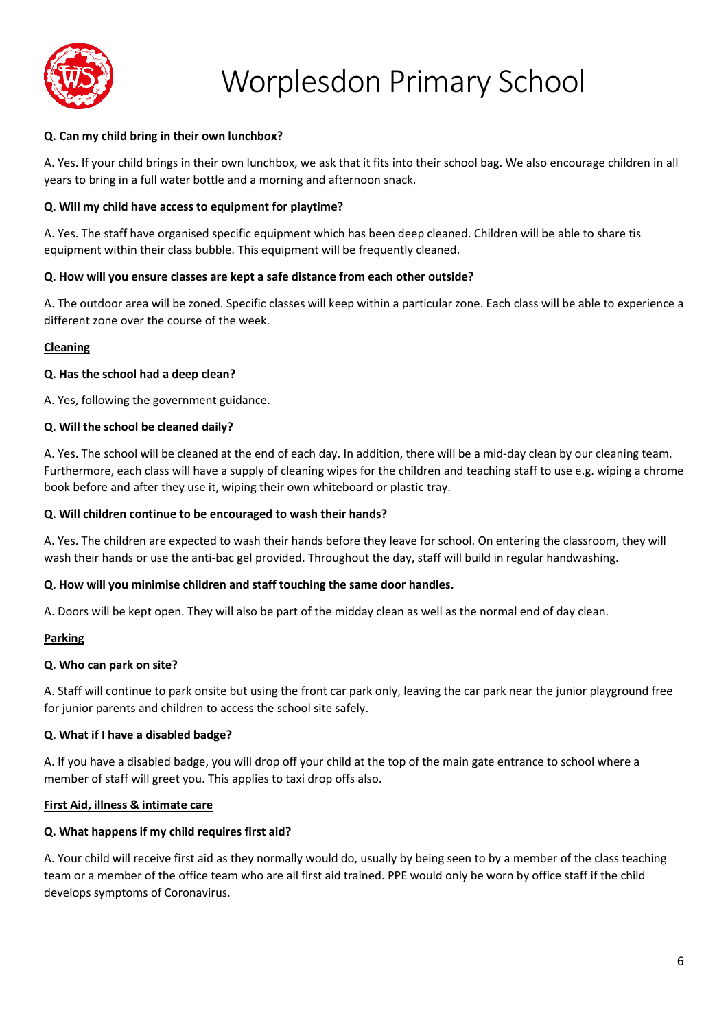

## **Q. Can my child bring in their own lunchbox?**

A. Yes. If your child brings in their own lunchbox, we ask that it fits into their school bag. We also encourage children in all years to bring in a full water bottle and a morning and afternoon snack.

#### **Q. Will my child have access to equipment for playtime?**

A. Yes. The staff have organised specific equipment which has been deep cleaned. Children will be able to share tis equipment within their class bubble. This equipment will be frequently cleaned.

## **Q. How will you ensure classes are kept a safe distance from each other outside?**

A. The outdoor area will be zoned. Specific classes will keep within a particular zone. Each class will be able to experience a different zone over the course of the week.

## **Cleaning**

## **Q. Has the school had a deep clean?**

A. Yes, following the government guidance.

#### **Q. Will the school be cleaned daily?**

A. Yes. The school will be cleaned at the end of each day. In addition, there will be a mid-day clean by our cleaning team. Furthermore, each class will have a supply of cleaning wipes for the children and teaching staff to use e.g. wiping a chrome book before and after they use it, wiping their own whiteboard or plastic tray.

#### **Q. Will children continue to be encouraged to wash their hands?**

A. Yes. The children are expected to wash their hands before they leave for school. On entering the classroom, they will wash their hands or use the anti-bac gel provided. Throughout the day, staff will build in regular handwashing.

#### **Q. How will you minimise children and staff touching the same door handles.**

A. Doors will be kept open. They will also be part of the midday clean as well as the normal end of day clean.

#### **Parking**

#### **Q. Who can park on site?**

A. Staff will continue to park onsite but using the front car park only, leaving the car park near the junior playground free for junior parents and children to access the school site safely.

#### **Q. What if I have a disabled badge?**

A. If you have a disabled badge, you will drop off your child at the top of the main gate entrance to school where a member of staff will greet you. This applies to taxi drop offs also.

#### **First Aid, illness & intimate care**

#### **Q. What happens if my child requires first aid?**

A. Your child will receive first aid as they normally would do, usually by being seen to by a member of the class teaching team or a member of the office team who are all first aid trained. PPE would only be worn by office staff if the child develops symptoms of Coronavirus.